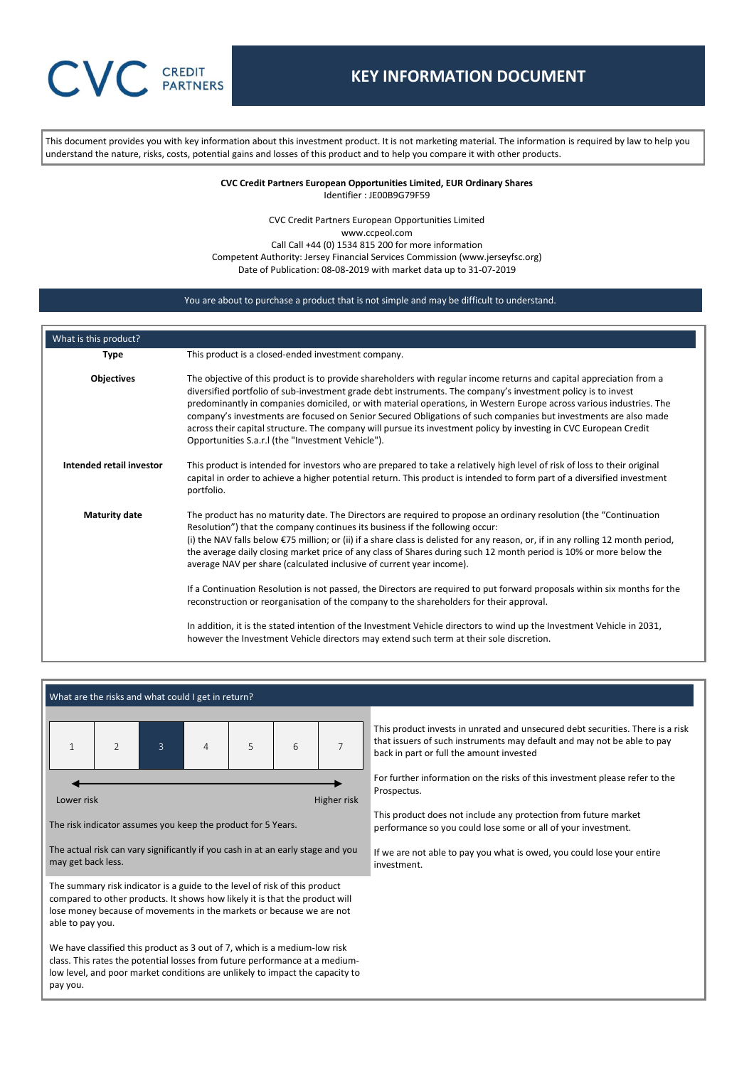This document provides you with key information about this investment product. It is not marketing material. The information is required by law to help you understand the nature, risks, costs, potential gains and losses of this product and to help you compare it with other products.

#### **CVC Credit Partners European Opportunities Limited, EUR Ordinary Shares** Identifier : JE00B9G79F59

CVC Credit Partners European Opportunities Limited www.ccpeol.com Call Call +44 (0) 1534 815 200 for more information Competent Authority: Jersey Financial Services Commission (www.jerseyfsc.org) Date of Publication: 08-08-2019 with market data up to 31-07-2019

## You are about to purchase a product that is not simple and may be difficult to understand.

| What is this product?    |                                                                                                                                                                                                                                                                                                                                                                                                                                                                                                                                                                                                                                                                                                                                                                                                                                                                                                                                                                                             |
|--------------------------|---------------------------------------------------------------------------------------------------------------------------------------------------------------------------------------------------------------------------------------------------------------------------------------------------------------------------------------------------------------------------------------------------------------------------------------------------------------------------------------------------------------------------------------------------------------------------------------------------------------------------------------------------------------------------------------------------------------------------------------------------------------------------------------------------------------------------------------------------------------------------------------------------------------------------------------------------------------------------------------------|
| <b>Type</b>              | This product is a closed-ended investment company.                                                                                                                                                                                                                                                                                                                                                                                                                                                                                                                                                                                                                                                                                                                                                                                                                                                                                                                                          |
| <b>Objectives</b>        | The objective of this product is to provide shareholders with regular income returns and capital appreciation from a<br>diversified portfolio of sub-investment grade debt instruments. The company's investment policy is to invest<br>predominantly in companies domiciled, or with material operations, in Western Europe across various industries. The<br>company's investments are focused on Senior Secured Obligations of such companies but investments are also made<br>across their capital structure. The company will pursue its investment policy by investing in CVC European Credit<br>Opportunities S.a.r.I (the "Investment Vehicle").                                                                                                                                                                                                                                                                                                                                    |
| Intended retail investor | This product is intended for investors who are prepared to take a relatively high level of risk of loss to their original<br>capital in order to achieve a higher potential return. This product is intended to form part of a diversified investment<br>portfolio.                                                                                                                                                                                                                                                                                                                                                                                                                                                                                                                                                                                                                                                                                                                         |
| <b>Maturity date</b>     | The product has no maturity date. The Directors are required to propose an ordinary resolution (the "Continuation"<br>Resolution") that the company continues its business if the following occur:<br>(i) the NAV falls below $\epsilon$ 75 million; or (ii) if a share class is delisted for any reason, or, if in any rolling 12 month period,<br>the average daily closing market price of any class of Shares during such 12 month period is 10% or more below the<br>average NAV per share (calculated inclusive of current year income).<br>If a Continuation Resolution is not passed, the Directors are required to put forward proposals within six months for the<br>reconstruction or reorganisation of the company to the shareholders for their approval.<br>In addition, it is the stated intention of the Investment Vehicle directors to wind up the Investment Vehicle in 2031,<br>however the Investment Vehicle directors may extend such term at their sole discretion. |



pay you.

that issuers of such instruments may default and may not be able to pay back in part or full the amount invested For further information on the risks of this investment please refer to the

This product does not include any protection from future market

performance so you could lose some or all of your investment.

If we are not able to pay you what is owed, you could lose your entire investment.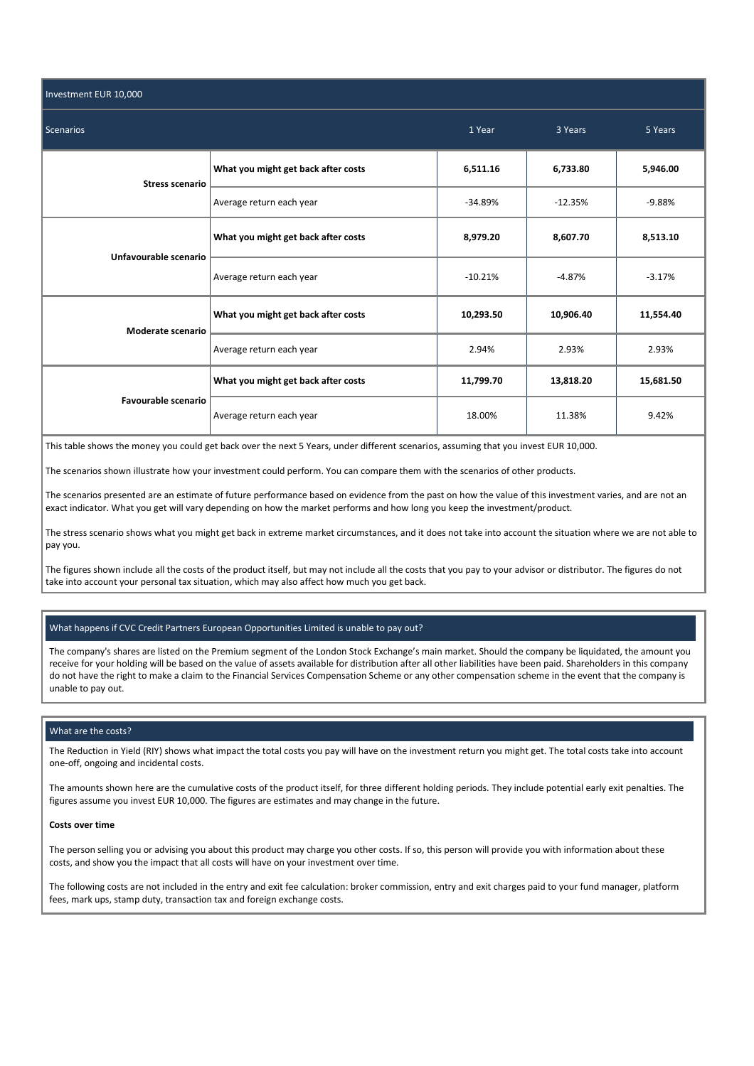| Investment EUR 10,000  |                                     |           |           |           |  |
|------------------------|-------------------------------------|-----------|-----------|-----------|--|
| <b>Scenarios</b>       | 1 Year                              | 3 Years   | 5 Years   |           |  |
| <b>Stress scenario</b> | What you might get back after costs | 6,511.16  | 6,733.80  | 5,946.00  |  |
|                        | Average return each year            | $-34.89%$ | $-12.35%$ | $-9.88%$  |  |
| Unfavourable scenario  | What you might get back after costs | 8,979.20  | 8,607.70  | 8,513.10  |  |
|                        | Average return each year            | $-10.21%$ | $-4.87%$  | $-3.17%$  |  |
| Moderate scenario      | What you might get back after costs | 10,293.50 | 10,906.40 | 11,554.40 |  |
|                        | Average return each year            | 2.94%     | 2.93%     | 2.93%     |  |
| Favourable scenario    | What you might get back after costs | 11,799.70 | 13,818.20 | 15,681.50 |  |
|                        | Average return each year            | 18.00%    | 11.38%    | 9.42%     |  |

This table shows the money you could get back over the next 5 Years, under different scenarios, assuming that you invest EUR 10,000.

The scenarios shown illustrate how your investment could perform. You can compare them with the scenarios of other products.

The scenarios presented are an estimate of future performance based on evidence from the past on how the value of this investment varies, and are not an exact indicator. What you get will vary depending on how the market performs and how long you keep the investment/product.

The stress scenario shows what you might get back in extreme market circumstances, and it does not take into account the situation where we are not able to pay you.

The figures shown include all the costs of the product itself, but may not include all the costs that you pay to your advisor or distributor. The figures do not take into account your personal tax situation, which may also affect how much you get back.

# What happens if CVC Credit Partners European Opportunities Limited is unable to pay out?

The company's shares are listed on the Premium segment of the London Stock Exchange's main market. Should the company be liquidated, the amount you receive for your holding will be based on the value of assets available for distribution after all other liabilities have been paid. Shareholders in this company do not have the right to make a claim to the Financial Services Compensation Scheme or any other compensation scheme in the event that the company is unable to pay out.

### What are the costs?

The Reduction in Yield (RIY) shows what impact the total costs you pay will have on the investment return you might get. The total costs take into account one-off, ongoing and incidental costs.

The amounts shown here are the cumulative costs of the product itself, for three different holding periods. They include potential early exit penalties. The figures assume you invest EUR 10,000. The figures are estimates and may change in the future.

### **Costs over time**

The person selling you or advising you about this product may charge you other costs. If so, this person will provide you with information about these costs, and show you the impact that all costs will have on your investment over time.

The following costs are not included in the entry and exit fee calculation: broker commission, entry and exit charges paid to your fund manager, platform fees, mark ups, stamp duty, transaction tax and foreign exchange costs.